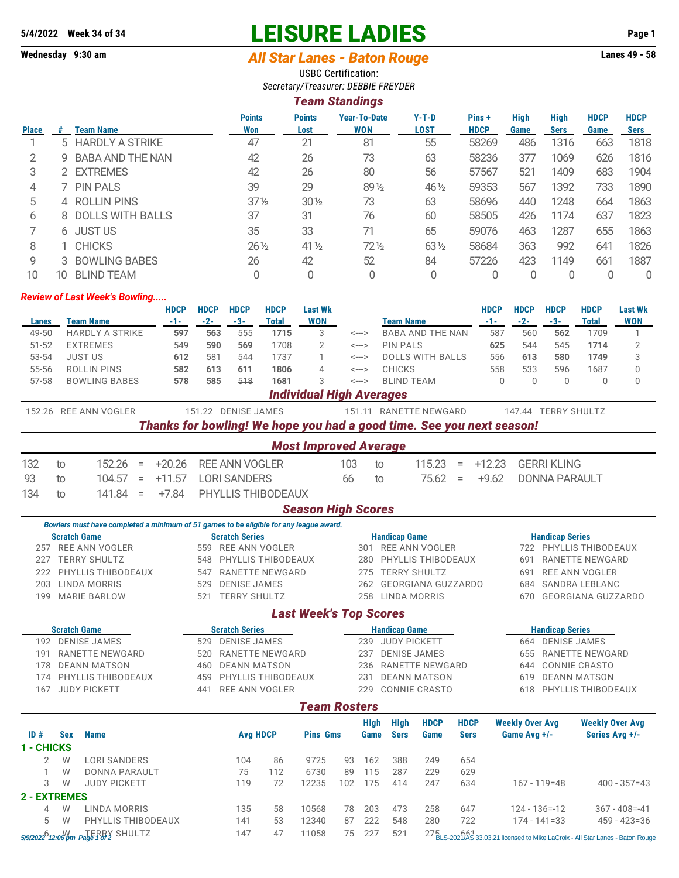## **5/4/2022 Week 34 of 34 LEISURE LADIES Page 1**

## **Wednesday 9:30 am** *All Star Lanes - Baton Rouge* **Lanes 49 - 58**

USBC Certification: *Secretary/Treasurer: DEBBIE FREYDER*

|              |   |                      |                      |                       | <b>Team Standings</b>             |                        |                      |                     |                            |                     |                            |
|--------------|---|----------------------|----------------------|-----------------------|-----------------------------------|------------------------|----------------------|---------------------|----------------------------|---------------------|----------------------------|
| <b>Place</b> | # | <b>Team Name</b>     | <b>Points</b><br>Won | <b>Points</b><br>Lost | <b>Year-To-Date</b><br><b>WON</b> | $Y-T-D$<br><b>LOST</b> | Pins+<br><b>HDCP</b> | <b>High</b><br>Game | <b>High</b><br><b>Sers</b> | <b>HDCP</b><br>Game | <b>HDCP</b><br><b>Sers</b> |
|              |   | 5 HARDLY A STRIKE    | 47                   | 21                    | 81                                | 55                     | 58269                | 486                 | 1316                       | 663                 | 1818                       |
| 2            | 9 | BABA AND THE NAN     | 42                   | 26                    | 73                                | 63                     | 58236                | 377                 | 1069                       | 626                 | 1816                       |
| 3            |   | 2 EXTREMES           | 42                   | 26                    | 80                                | 56                     | 57567                | 521                 | 1409                       | 683                 | 1904                       |
| 4            |   | <b>PIN PALS</b>      | 39                   | 29                    | 891/2                             | 46 1/2                 | 59353                | 567                 | 1392                       | 733                 | 1890                       |
| 5            |   | 4 ROLLIN PINS        | $37\frac{1}{2}$      | $30\%$                | 73                                | 63                     | 58696                | 440                 | 1248                       | 664                 | 1863                       |
| 6            |   | 8 DOLLS WITH BALLS   | 37                   | 31                    | 76                                | 60                     | 58505                | 426                 | 1174                       | 637                 | 1823                       |
|              |   | 6 JUST US            | 35                   | 33                    | 71                                | 65                     | 59076                | 463                 | 1287                       | 655                 | 1863                       |
| 8            |   | <b>CHICKS</b>        | $26\frac{1}{2}$      | $41\frac{1}{2}$       | $72\frac{1}{2}$                   | $63\frac{1}{2}$        | 58684                | 363                 | 992                        | 641                 | 1826                       |
| 9            |   | <b>BOWLING BABES</b> | 26                   | 42                    | 52                                | 84                     | 57226                | 423                 | 1149                       | 661                 | 1887                       |

## *Review of Last Week's Bowling.....*

|           |                 |                        |          | <b>HDCP</b>                                                           | <b>HDCP</b> | <b>HDCP</b>           | <b>HDCP</b>        | <b>Last Wk</b>                  |                            |                   |                         |     | <b>HDCP</b> | <b>HDCP</b> | <b>HDCP</b>          | <b>HDCP</b> | <b>Last Wk</b> |
|-----------|-----------------|------------------------|----------|-----------------------------------------------------------------------|-------------|-----------------------|--------------------|---------------------------------|----------------------------|-------------------|-------------------------|-----|-------------|-------------|----------------------|-------------|----------------|
| Lanes     | Team Name       |                        |          | -1-                                                                   | $-2-$       | -3-                   | <b>Total</b>       | <b>WON</b>                      |                            | Team Name         |                         |     | $-1-$       | $-2-$       | $-3-$                | Total       | <b>WON</b>     |
| 49-50     |                 | <b>HARDLY A STRIKE</b> |          | 597                                                                   | 563         | 555                   | 1715               | 3                               | $\leftarrow$ $\rightarrow$ |                   | <b>BABA AND THE NAN</b> |     | 587         | 560         | 562                  | 1709        |                |
| $51 - 52$ | <b>EXTREMES</b> |                        |          | 549                                                                   | 590         | 569                   | 1708               | 2                               | $\leftarrow$ $\rightarrow$ | <b>PIN PALS</b>   |                         |     | 625         | 544         | 545                  | 1714        |                |
| 53-54     | <b>JUST US</b>  |                        |          | 612                                                                   | 581         | 544                   | 1737               |                                 | $\leftarrow$ $\rightarrow$ |                   | <b>DOLLS WITH BALLS</b> |     | 556         | 613         | 580                  | 1749        | 3              |
| 55-56     |                 | <b>ROLLIN PINS</b>     |          | 582                                                                   | 613         | 611                   | 1806               | 4                               | <--->                      | <b>CHICKS</b>     |                         |     | 558         | 533         | 596                  | 1687        | 0              |
| $57 - 58$ |                 | <b>BOWLING BABES</b>   |          | 578                                                                   | 585         | 518                   | 1681               | 3                               | $\leftarrow$ $\rightarrow$ | <b>BLIND TEAM</b> |                         |     |             | 0           | 0                    | 0           | 0              |
|           |                 |                        |          |                                                                       |             |                       |                    | <b>Individual High Averages</b> |                            |                   |                         |     |             |             |                      |             |                |
| 152.26    |                 | REE ANN VOGLER         |          |                                                                       | 151.22      | <b>DENISE JAMES</b>   |                    |                                 | 151.11                     |                   | RANETTE NEWGARD         |     |             | 147.44      | <b>TERRY SHULTZ</b>  |             |                |
|           |                 |                        |          | Thanks for bowling! We hope you had a good time. See you next season! |             |                       |                    |                                 |                            |                   |                         |     |             |             |                      |             |                |
|           |                 |                        |          |                                                                       |             |                       |                    | <b>Most Improved Average</b>    |                            |                   |                         |     |             |             |                      |             |                |
| 132       | to              | 152.26                 | $\equiv$ | $+20.26$                                                              |             | <b>REE ANN VOGLER</b> |                    |                                 | 103                        | to                | 115.23                  | $=$ | $+12.23$    |             | <b>GERRI KLING</b>   |             |                |
| 93        | to              | 104.57                 | $=$      | $+11.57$                                                              |             | <b>LORI SANDERS</b>   |                    |                                 | 66                         | to                | 75.62                   | $=$ | $+9.62$     |             | <b>DONNA PARAULT</b> |             |                |
| 134       | to              | 141.84                 | $=$      | $+7.84$                                                               |             |                       | PHYLLIS THIBODEAUX |                                 |                            |                   |                         |     |             |             |                      |             |                |
|           |                 |                        |          |                                                                       |             |                       |                    | <b>Season High Scores</b>       |                            |                   |                         |     |             |             |                      |             |                |

10 10 BLIND TEAM 0 0 0 0 0 0 0 0 0

*Bowlers must have completed a minimum of 51 games to be eligible for any league award.* **Scratch Game Scratch Series Scratch Series Handicap Game Handicap Series**<br> **Scratch Series Handicap Series Handicap Series Handicap Series Handicap Series Handicap Series Handicap Series** 722 PHYLLIS THIBODEAUX 227 TERRY SHULTZ 548 PHYLLIS THIBODEAUX 280 PHYLLIS THIBODEAUX 691 RANETTE NEWGARD 222 PHYLLIS THIBODEAUX 547 RANETTE NEWGARD 275 TERRY SHULTZ 691 REE ANN VOGLER 203 LINDA MORRIS 529 DENISE JAMES 262 GEORGIANA GUZZARDO 684 SANDRA LEBLANC 199 MARIE BARLOW 521 TERRY SHULTZ 258 LINDA MORRIS 670 GEORGIANA GUZZARDO

## *Last Week's Top Scores*

| <b>Scratch Game</b>        |                     |                      | <b>Scratch Series</b> |                            |     |                     |     |             | <b>Handicap Game</b> |                     |             | <b>Handicap Series</b>     |                        |  |  |
|----------------------------|---------------------|----------------------|-----------------------|----------------------------|-----|---------------------|-----|-------------|----------------------|---------------------|-------------|----------------------------|------------------------|--|--|
| <b>DENISE JAMES</b><br>192 |                     |                      |                       | <b>DENISE JAMES</b><br>529 |     |                     |     | 239         | <b>JUDY PICKETT</b>  |                     |             | <b>DENISE JAMES</b><br>664 |                        |  |  |
| RANETTE NEWGARD<br>191     |                     |                      | 520                   | RANETTE NEWGARD            |     |                     |     | 237         | <b>DENISE JAMES</b>  |                     |             | RANETTE NEWGARD<br>655     |                        |  |  |
| 178                        |                     | <b>DEANN MATSON</b>  | 460                   | <b>DEANN MATSON</b>        |     |                     |     | 236         |                      | RANETTE NEWGARD     |             | CONNIE CRASTO<br>644       |                        |  |  |
| 174                        |                     | PHYLLIS THIBODEAUX   | 459                   | PHYLLIS THIBODEAUX         |     |                     |     | 231         |                      | <b>DEANN MATSON</b> |             | <b>DEANN MATSON</b><br>619 |                        |  |  |
| 167                        | <b>JUDY PICKETT</b> |                      | 441                   | REE ANN VOGLER             |     |                     |     | 229         |                      | CONNIE CRASTO       |             | PHYLLIS THIBODEAUX<br>618  |                        |  |  |
|                            |                     |                      |                       |                            |     | <b>Team Rosters</b> |     |             |                      |                     |             |                            |                        |  |  |
|                            |                     |                      |                       |                            |     |                     |     | <b>High</b> | High                 | <b>HDCP</b>         | <b>HDCP</b> | <b>Weekly Over Avg</b>     | <b>Weekly Over Avg</b> |  |  |
| ID#                        | <b>Sex</b>          | <b>Name</b>          |                       | <b>Avg HDCP</b>            |     | <b>Pins Gms</b>     |     | Game        | <b>Sers</b>          | Game                | <b>Sers</b> | Game Avg +/-               | Series Avg +/-         |  |  |
| - CHICKS                   |                     |                      |                       |                            |     |                     |     |             |                      |                     |             |                            |                        |  |  |
| 2                          | W                   | <b>LORI SANDERS</b>  |                       | 104                        | 86  | 9725                | 93  | 162         | 388                  | 249                 | 654         |                            |                        |  |  |
|                            | W                   | <b>DONNA PARAULT</b> |                       | 75                         | 112 | 6730                | 89  | 115         | 287                  | 229                 | 629         |                            |                        |  |  |
| 3                          | W                   | <b>JUDY PICKETT</b>  |                       | 119                        | 72  | 12235               | 102 | 175         | 414                  | 247                 | 634         | $167 - 119 = 48$           | $400 - 357 = 43$       |  |  |
| 2 - EXTREMES               |                     |                      |                       |                            |     |                     |     |             |                      |                     |             |                            |                        |  |  |
| 4                          | W                   | LINDA MORRIS         |                       | 135                        | 58  | 10568               | 78  | 203         | 473                  | 258                 | 647         | $124 - 136 = -12$          | $367 - 408 = -41$      |  |  |
| 5                          | W                   | PHYLLIS THIBODEAUX   |                       | 141                        | 53  | 12340               | 87  | 222         | 548                  | 280                 | 722         | $174 - 141 = 33$           | $459 - 423 = 36$       |  |  |

5 9 2022 12:06 pm Page 1 of 2 SHULTZ **147** 47 11058 75 227 521 27 **5.** 2021 25 2021 12:5 2021 12:5 2021 12:5 2021 12:5 2021 12:5 2021 12:5 2021 12:5 2021 12:5 2021 12:5 2021 12:5 2020 12:5 2020 12:5 2020 12:5 2020 12:5 202